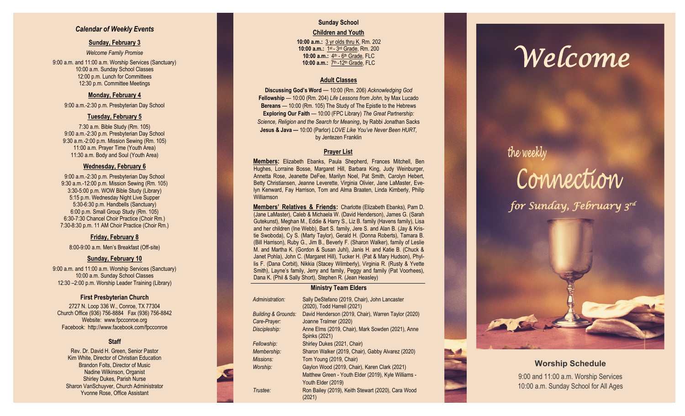### *Calendar of Weekly Events*

### **Sunday, February 3**

*Welcome Family Promise* 9:00 a.m. and 11:00 a.m. Worship Services (Sanctuary) 10:00 a.m. Sunday School Classes 12:00 p.m. Lunch for Committees 12:30 p.m. Committee Meetings

### **Monday, February 4**

9:00 a.m. -2:30 p.m. Presbyterian Day School

### **Tuesday, February 5**

7:30 a.m. Bible Study (Rm. 105) 9:00 a.m. -2:30 p.m. Presbyterian Day School 9:30 a.m. -2:00 p.m. Mission Sewing (Rm. 105) 11:00 a.m. Prayer Time (Youth Area) 11:30 a.m. Body and Soul (Youth Area)

### **Wednesday, February 6**

9:00 a.m. -2:30 p.m. Presbyterian Day School 9:30 a.m. -12:00 p.m. Mission Sewing (Rm. 105) 3:30 -5:00 p.m. WOW Bible Study (Library) 5:15 p.m. Wednesday Night Live Supper 5:30 -6:30 p.m. Handbells (Sanctuary) 6:00 p.m. Small Group Study (Rm. 105) 6:30 -7:30 Chancel Choir Practice (Choir Rm.) 7:30 -8:30 p.m. 11 AM Choir Practice (Choir Rm.)

### **Friday, February 8**

8:00 -9:00 a.m. Men's Breakfast (Off -site)

### **Sunday, February 10**

9:00 a.m. and 11:00 a.m. Worship Services (Sanctuary) 10:00 a.m. Sunday School Classes 12:30 –2:00 p.m. Worship Leader Training (Library)

### **First Presbyterian Church**

2727 N. Loop 336 W., Conroe, TX 77304 Church Office (936) 756 -8884 Fax (936) 756 -8842 Website: [www.fpcconroe.org](http://www.fpcconroe.org/) Facebook: <http://www.facebook.com/fpcconroe>

### **Staff**

Rev. Dr. David H. Green, Senior Pastor Kim White, Director of Christian Education Brandon Folts, Director of Music Nadine Wilkinson, Organist Shirley Dukes, Parish Nurse Sharon VanSchuyver, Church Administrator Yvonne Rose, Office Assistant

### **Sunday School Children and Youth**

**10:00 a.m.:** 3 yr olds thru K, Rm. 202 10:00 a.m.: 1st - 3rd Grade, Rm. 200 10:00 a.m.: 4<sup>th</sup> - 6<sup>th</sup> Grade, FLC 10:00 a.m.: 7<sup>th</sup> -12<sup>th</sup> Grade, FLC

### **Adult Classes**

**Discussing God's Word**  — 10:00 (Rm. 206) *Acknowledging God* **Fellowship** — 10:00 (Rm. 204) *Life Lessons from John*, by Max Lucado **Bereans** — 10:00 (Rm. 105) The Study of The Epistle to the Hebrews **Exploring Our Faith**  — 10:00 (FPC Library) *The Great Partnership: Science, Religion and the Search for Meaning*, by Rabbi Jonathan Sacks **Jesus & Java —** 10:00 (Parlor) *LOVE Like You've Never Been HURT,*  by Jentezen Franklin

### **Prayer List**

**Members :** Elizabeth Ebanks, Paula Shepherd, Frances Mitchell, Ben Hughes, Lorraine Bosse, Margaret Hill, Barbara King, Judy Weinburger, Annetta Rose, Jeanette DeFee, Marilyn Noel, Pat Smith, Carolyn Hebert, Betty Christiansen, Jeanne Leverette, Virginia Olivier, Jane LaMaster, Evelyn Kenward, Fay Harrison, Tom and Alma Braaten, Linda Kimberly, Philip Williamson

**Members' Relatives & Friends:** Charlotte (Elizabeth Ebanks), Pam D. (Jane LaMaster), Caleb & Michaela W. (David Henderson), James G. (Sarah Gutekunst), Meghan M., Eddie & Harry S., Liz B. family (Havens family), Lisa and her children (Ine Webb), Bart S. family, Jere S. and Alan B. (Jay & Kristie Swoboda), Cy S. (Marty Taylor), Gerald H. (Donna Roberts), Tamara B. (Bill Harrison), Ruby G., Jim B., Beverly F. (Sharon Walker), family of Leslie M. and Martha K. (Gordon & Susan Juhl), Janis H. and Katie B. (Chuck & Janet Pohla), John C. (Margaret Hill), Tucker H. (Pat & Mary Hudson), Phyllis F. (Dana Corbit), Nikkia (Stacey Wilmberly), Virginia R. (Rusty & Yvette Smith), Layne's family, Jerry and family, Peggy and family (Pat Voorhees), Dana K. (Phil & Sally Short), Stephen R. (Jean Heasley)

### **Ministry Team Elders**

| Administration:                | Sally DeStefano (2019, Chair), John Lancaster<br>(2020), Todd Harrell (2021) |
|--------------------------------|------------------------------------------------------------------------------|
| <b>Building &amp; Grounds:</b> | David Henderson (2019, Chair), Warren Taylor (2020)                          |
| Care-Prayer:                   | Joanne Tralmer (2020)                                                        |
| Discipleship:                  | Anne Elms (2019, Chair), Mark Sowden (2021), Anne<br>Spinks (2021)           |
| Fellowship:                    | Shirley Dukes (2021, Chair)                                                  |
| Membership:                    | Sharon Walker (2019, Chair), Gabby Alvarez (2020)                            |
| Missions:                      | Tom Young (2019, Chair)                                                      |
| Worship:                       | Gaylon Wood (2019, Chair), Karen Clark (2021)                                |
|                                | Matthew Green - Youth Elder (2019), Kyle Williams -                          |
|                                | Youth Elder (2019)                                                           |
| Trustee:                       | Ron Bailey (2019), Keith Stewart (2020), Cara Wood<br>(2021)                 |

# *Welcome*

## the weekly Connection *for Sunday, February 3rd*



### **Worship Schedule**

9:00 and 11:00 a.m. Worship Services 10:00 a.m. Sunday School for All Ages